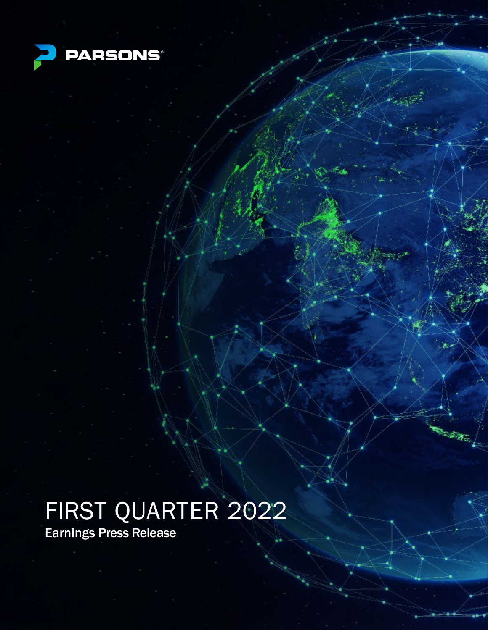

 $E = 1$ 

# FIRST QUARTER 2022

Earnings Press Release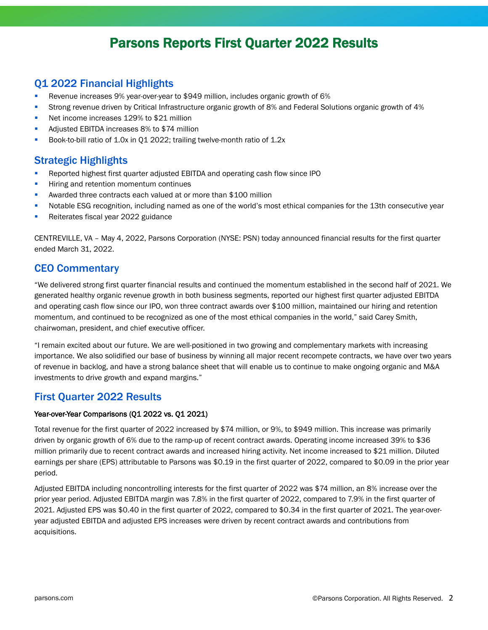# Parsons Reports First Quarter 2022 Results

### Q1 2022 Financial Highlights

- Revenue increases 9% year-over-year to \$949 million, includes organic growth of 6%
- Strong revenue driven by Critical Infrastructure organic growth of 8% and Federal Solutions organic growth of 4%
- Net income increases 129% to \$21 million
- Adjusted EBITDA increases 8% to \$74 million
- Book-to-bill ratio of 1.0x in Q1 2022; trailing twelve-month ratio of 1.2x

### Strategic Highlights

- Reported highest first quarter adjusted EBITDA and operating cash flow since IPO
- **Hiring and retention momentum continues**
- **Awarded three contracts each valued at or more than \$100 million**
- Notable ESG recognition, including named as one of the world's most ethical companies for the 13th consecutive year
- Reiterates fiscal year 2022 guidance

CENTREVILLE, VA – May 4, 2022, Parsons Corporation (NYSE: PSN) today announced financial results for the first quarter ended March 31, 2022.

### CEO Commentary

"We delivered strong first quarter financial results and continued the momentum established in the second half of 2021. We generated healthy organic revenue growth in both business segments, reported our highest first quarter adjusted EBITDA and operating cash flow since our IPO, won three contract awards over \$100 million, maintained our hiring and retention momentum, and continued to be recognized as one of the most ethical companies in the world," said Carey Smith, chairwoman, president, and chief executive officer.

"I remain excited about our future. We are well-positioned in two growing and complementary markets with increasing importance. We also solidified our base of business by winning all major recent recompete contracts, we have over two years of revenue in backlog, and have a strong balance sheet that will enable us to continue to make ongoing organic and M&A investments to drive growth and expand margins."

### First Quarter 2022 Results

#### Year-over-Year Comparisons (Q1 2022 vs. Q1 2021)

Total revenue for the first quarter of 2022 increased by \$74 million, or 9%, to \$949 million. This increase was primarily driven by organic growth of 6% due to the ramp-up of recent contract awards. Operating income increased 39% to \$36 million primarily due to recent contract awards and increased hiring activity. Net income increased to \$21 million. Diluted earnings per share (EPS) attributable to Parsons was \$0.19 in the first quarter of 2022, compared to \$0.09 in the prior year period.

Adjusted EBITDA including noncontrolling interests for the first quarter of 2022 was \$74 million, an 8% increase over the prior year period. Adjusted EBITDA margin was 7.8% in the first quarter of 2022, compared to 7.9% in the first quarter of 2021. Adjusted EPS was \$0.40 in the first quarter of 2022, compared to \$0.34 in the first quarter of 2021. The year-overyear adjusted EBITDA and adjusted EPS increases were driven by recent contract awards and contributions from acquisitions.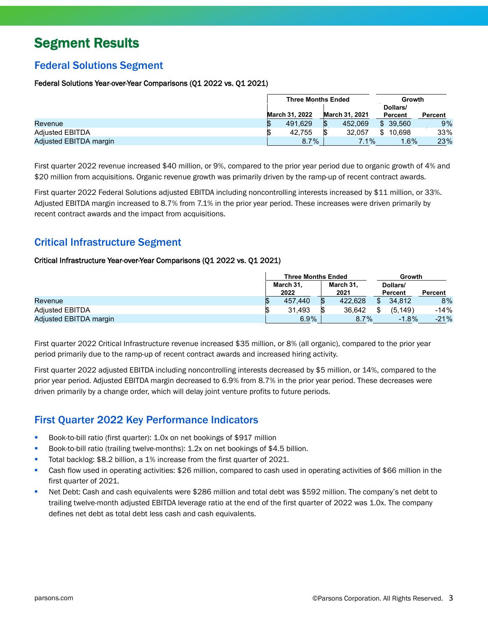# Segment Results

### Federal Solutions Segment

#### Federal Solutions Year-over-Year Comparisons (Q1 2022 vs. Q1 2021)

|                        | <b>Three Months Ended</b> |                |  |    | Growth                |    |                     |         |
|------------------------|---------------------------|----------------|--|----|-----------------------|----|---------------------|---------|
|                        |                           | March 31, 2022 |  |    | <b>March 31, 2021</b> |    | Dollars/<br>Percent | Percent |
| Revenue                |                           | 491,629        |  | \$ | 452.069               |    | \$39.560            | 9%      |
| <b>Adjusted EBITDA</b> |                           | 42.755         |  |    | 32.057                | \$ | 10.698              | 33%     |
| Adjusted EBITDA margin |                           | 8.7%           |  |    | 7.1%                  |    | $.6\%$              | 23%     |

First quarter 2022 revenue increased \$40 million, or 9%, compared to the prior year period due to organic growth of 4% and \$20 million from acquisitions. Organic revenue growth was primarily driven by the ramp-up of recent contract awards.

First quarter 2022 Federal Solutions adjusted EBITDA including noncontrolling interests increased by \$11 million, or 33%. Adjusted EBITDA margin increased to 8.7% from 7.1% in the prior year period. These increases were driven primarily by recent contract awards and the impact from acquisitions.

### Critical Infrastructure Segment

#### Critical Infrastructure Year-over-Year Comparisons (Q1 2022 vs. Q1 2021)

|                        | <b>Three Months Ended</b> |                   |  |                   | Growth              |         |
|------------------------|---------------------------|-------------------|--|-------------------|---------------------|---------|
|                        |                           | March 31.<br>2022 |  | March 31.<br>2021 | Dollars/<br>Percent | Percent |
| Revenue                |                           | 457.440           |  | 422.628           | \$<br>34.812        | 8%      |
| <b>Adiusted EBITDA</b> |                           | 31.493            |  | 36.642            | (5.149)             | $-14%$  |
| Adjusted EBITDA margin |                           | $6.9\%$           |  | 8.7%              | $-1.8%$             | $-21%$  |

First quarter 2022 Critical Infrastructure revenue increased \$35 million, or 8% (all organic), compared to the prior year period primarily due to the ramp-up of recent contract awards and increased hiring activity.

First quarter 2022 adjusted EBITDA including noncontrolling interests decreased by \$5 million, or 14%, compared to the prior year period. Adjusted EBITDA margin decreased to 6.9% from 8.7% in the prior year period. These decreases were driven primarily by a change order, which will delay joint venture profits to future periods.

### First Quarter 2022 Key Performance Indicators

- Book-to-bill ratio (first quarter): 1.0x on net bookings of \$917 million
- Book-to-bill ratio (trailing twelve-months): 1.2x on net bookings of \$4.5 billion.
- Total backlog: \$8.2 billion, a 1% increase from the first quarter of 2021.
- Cash flow used in operating activities: \$26 million, compared to cash used in operating activities of \$66 million in the first quarter of 2021.
- Net Debt: Cash and cash equivalents were \$286 million and total debt was \$592 million. The company's net debt to trailing twelve-month adjusted EBITDA leverage ratio at the end of the first quarter of 2022 was 1.0x. The company defines net debt as total debt less cash and cash equivalents.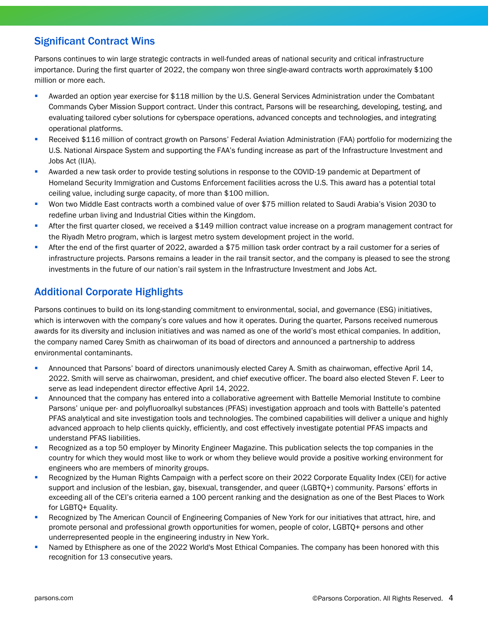### Significant Contract Wins

Parsons continues to win large strategic contracts in well-funded areas of national security and critical infrastructure importance. During the first quarter of 2022, the company won three single-award contracts worth approximately \$100 million or more each.

- Awarded an option year exercise for \$118 million by the U.S. General Services Administration under the Combatant Commands Cyber Mission Support contract. Under this contract, Parsons will be researching, developing, testing, and evaluating tailored cyber solutions for cyberspace operations, advanced concepts and technologies, and integrating operational platforms.
- Received \$116 million of contract growth on Parsons' Federal Aviation Administration (FAA) portfolio for modernizing the U.S. National Airspace System and supporting the FAA's funding increase as part of the Infrastructure Investment and Jobs Act (IIJA).
- **Awarded a new task order to provide testing solutions in response to the COVID-19 pandemic at Department of** Homeland Security Immigration and Customs Enforcement facilities across the U.S. This award has a potential total ceiling value, including surge capacity, of more than \$100 million.
- Won two Middle East contracts worth a combined value of over \$75 million related to Saudi Arabia's Vision 2030 to redefine urban living and Industrial Cities within the Kingdom.
- After the first quarter closed, we received a \$149 million contract value increase on a program management contract for the Riyadh Metro program, which is largest metro system development project in the world.
- After the end of the first quarter of 2022, awarded a \$75 million task order contract by a rail customer for a series of infrastructure projects. Parsons remains a leader in the rail transit sector, and the company is pleased to see the strong investments in the future of our nation's rail system in the Infrastructure Investment and Jobs Act.

### Additional Corporate Highlights

Parsons continues to build on its long-standing commitment to environmental, social, and governance (ESG) initiatives, which is interwoven with the company's core values and how it operates. During the quarter, Parsons received numerous awards for its diversity and inclusion initiatives and was named as one of the world's most ethical companies. In addition, the company named Carey Smith as chairwoman of its boad of directors and announced a partnership to address environmental contaminants.

- **Announced that Parsons' board of directors unanimously elected Carey A. Smith as chairwoman, effective April 14,** 2022. Smith will serve as chairwoman, president, and chief executive officer. The board also elected Steven F. Leer to serve as lead independent director effective April 14, 2022.
- **Announced that the company has entered into a collaborative agreement with Battelle Memorial Institute to combine** Parsons' unique per- and polyfluoroalkyl substances (PFAS) investigation approach and tools with Battelle's patented PFAS analytical and site investigation tools and technologies. The combined capabilities will deliver a unique and highly advanced approach to help clients quickly, efficiently, and cost effectively investigate potential PFAS impacts and understand PFAS liabilities.
- Recognized as a top 50 employer by Minority Engineer Magazine. This publication selects the top companies in the country for which they would most like to work or whom they believe would provide a positive working environment for engineers who are members of minority groups.
- Recognized by the Human Rights Campaign with a perfect score on their 2022 Corporate Equality Index (CEI) for active support and inclusion of the lesbian, gay, bisexual, transgender, and queer (LGBTQ+) community. Parsons' efforts in exceeding all of the CEI's criteria earned a 100 percent ranking and the designation as one of the Best Places to Work for LGBTQ+ Equality.
- Recognized by The American Council of Engineering Companies of New York for our initiatives that attract, hire, and promote personal and professional growth opportunities for women, people of color, LGBTQ+ persons and other underrepresented people in the engineering industry in New York.
- Named by Ethisphere as one of the 2022 World's Most Ethical Companies. The company has been honored with this recognition for 13 consecutive years.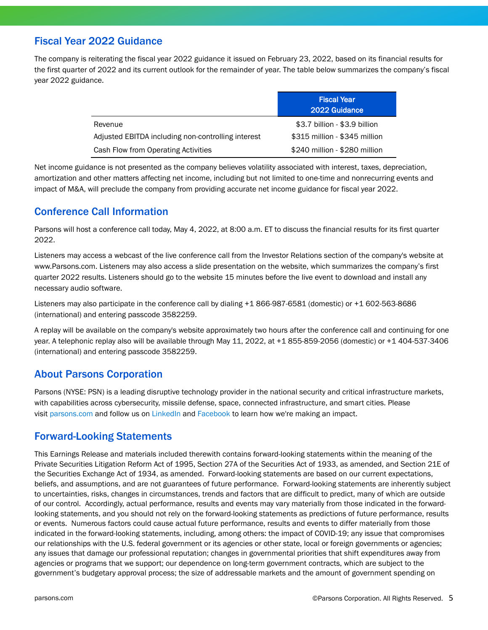### Fiscal Year 2022 Guidance

The company is reiterating the fiscal year 2022 guidance it issued on February 23, 2022, based on its financial results for the first quarter of 2022 and its current outlook for the remainder of year. The table below summarizes the company's fiscal year 2022 guidance.

|                                                    | <b>Fiscal Year</b><br>2022 Guidance |
|----------------------------------------------------|-------------------------------------|
| Revenue                                            | \$3.7 billion - \$3.9 billion       |
| Adjusted EBITDA including non-controlling interest | \$315 million - \$345 million       |
| Cash Flow from Operating Activities                | \$240 million - \$280 million       |

Net income guidance is not presented as the company believes volatility associated with interest, taxes, depreciation, amortization and other matters affecting net income, including but not limited to one-time and nonrecurring events and impact of M&A, will preclude the company from providing accurate net income guidance for fiscal year 2022.

### Conference Call Information

Parsons will host a conference call today, May 4, 2022, at 8:00 a.m. ET to discuss the financial results for its first quarter 2022.

Listeners may access a webcast of the live conference call from the Investor Relations section of the company's website at www.Parsons.com. Listeners may also access a slide presentation on the website, which summarizes the company's first quarter 2022 results. Listeners should go to the website 15 minutes before the live event to download and install any necessary audio software.

Listeners may also participate in the conference call by dialing +1 866-987-6581 (domestic) or +1 602-563-8686 (international) and entering passcode 3582259.

A replay will be available on the company's website approximately two hours after the conference call and continuing for one year. A telephonic replay also will be available through May 11, 2022, at +1 855-859-2056 (domestic) or +1 404-537-3406 (international) and entering passcode 3582259.

### About Parsons Corporation

Parsons (NYSE: PSN) is a leading disruptive technology provider in the national security and critical infrastructure markets, with capabilities across cybersecurity, missile defense, space, connected infrastructure, and smart cities. Please visit [parsons.com](http://parsons.com/) and follow us on [LinkedIn](https://c212.net/c/link/?t=0&l=en&o=2596257-1&h=3778123659&u=https%3A%2F%2Fwww.linkedin.com%2Fcompany%2Fparsons&a=LinkedIn) and [Facebook](https://c212.net/c/link/?t=0&l=en&o=2596257-1&h=38199680&u=https%3A%2F%2Fwww.facebook.com%2Fparsonscorporation&a=Facebook) to learn how we're making an impact.

### Forward-Looking Statements

This Earnings Release and materials included therewith contains forward-looking statements within the meaning of the Private Securities Litigation Reform Act of 1995, Section 27A of the Securities Act of 1933, as amended, and Section 21E of the Securities Exchange Act of 1934, as amended. Forward-looking statements are based on our current expectations, beliefs, and assumptions, and are not guarantees of future performance. Forward-looking statements are inherently subject to uncertainties, risks, changes in circumstances, trends and factors that are difficult to predict, many of which are outside of our control. Accordingly, actual performance, results and events may vary materially from those indicated in the forwardlooking statements, and you should not rely on the forward-looking statements as predictions of future performance, results or events. Numerous factors could cause actual future performance, results and events to differ materially from those indicated in the forward-looking statements, including, among others: the impact of COVID-19; any issue that compromises our relationships with the U.S. federal government or its agencies or other state, local or foreign governments or agencies; any issues that damage our professional reputation; changes in governmental priorities that shift expenditures away from agencies or programs that we support; our dependence on long-term government contracts, which are subject to the government's budgetary approval process; the size of addressable markets and the amount of government spending on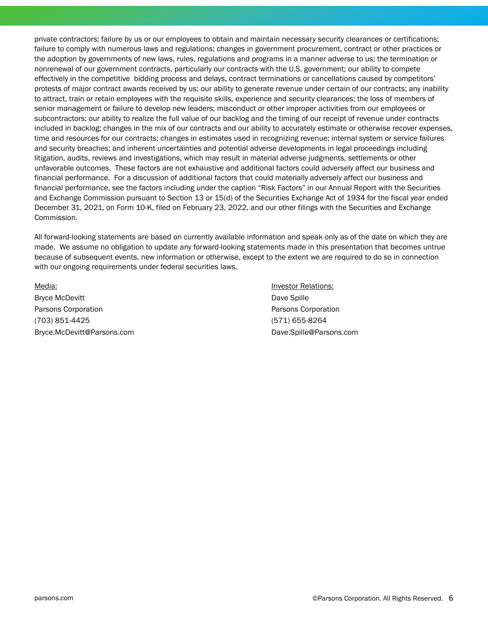private contractors; failure by us or our employees to obtain and maintain necessary security clearances or certifications; failure to comply with numerous laws and regulations; changes in government procurement, contract or other practices or the adoption by governments of new laws, rules, regulations and programs in a manner adverse to us; the termination or nonrenewal of our government contracts, particularly our contracts with the U.S. government; our ability to compete effectively in the competitive bidding process and delays, contract terminations or cancellations caused by competitors' protests of major contract awards received by us; our ability to generate revenue under certain of our contracts; any inability to attract, train or retain employees with the requisite skills, experience and security clearances; the loss of members of senior management or failure to develop new leaders; misconduct or other improper activities from our employees or subcontractors; our ability to realize the full value of our backlog and the timing of our receipt of revenue under contracts included in backlog; changes in the mix of our contracts and our ability to accurately estimate or otherwise recover expenses, time and resources for our contracts; changes in estimates used in recognizing revenue; internal system or service failures and security breaches; and inherent uncertainties and potential adverse developments in legal proceedings including litigation, audits, reviews and investigations, which may result in material adverse judgments, settlements or other unfavorable outcomes. These factors are not exhaustive and additional factors could adversely affect our business and financial performance. For a discussion of additional factors that could materially adversely affect our business and financial performance, see the factors including under the caption "Risk Factors" in our Annual Report with the Securities and Exchange Commission pursuant to Section 13 or 15(d) of the Securities Exchange Act of 1934 for the fiscal year ended December 31, 2021, on Form 10-K, filed on February 23, 2022, and our other filings with the Securities and Exchange Commission.

All forward-looking statements are based on currently available information and speak only as of the date on which they are made. We assume no obligation to update any forward-looking statements made in this presentation that becomes untrue because of subsequent events, new information or otherwise, except to the extent we are required to do so in connection with our ongoing requirements under federal securities laws.

Bryce McDevitt **Dave Spille** Parsons Corporation **Parsons Corporation** Parsons Corporation (703) 851-4425 (571) 655-8264 Bryce.McDevitt@Parsons.com Dave.Spille@Parsons.com

Media: Investor Relations: Investor Relations: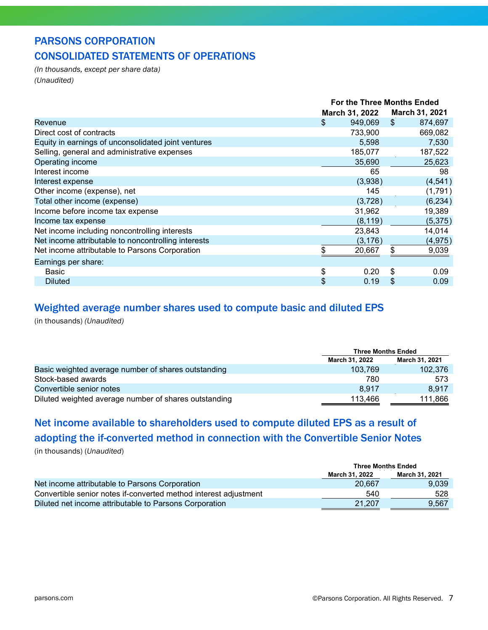### PARSONS CORPORATION CONSOLIDATED STATEMENTS OF OPERATIONS

*(In thousands, except per share data) (Unaudited)*

|                                                     | <b>For the Three Months Ended</b> |    |                |  |
|-----------------------------------------------------|-----------------------------------|----|----------------|--|
|                                                     | March 31, 2022                    |    | March 31, 2021 |  |
| Revenue                                             | \$<br>949,069                     | \$ | 874,697        |  |
| Direct cost of contracts                            | 733,900                           |    | 669,082        |  |
| Equity in earnings of unconsolidated joint ventures | 5,598                             |    | 7,530          |  |
| Selling, general and administrative expenses        | 185,077                           |    | 187,522        |  |
| Operating income                                    | 35,690                            |    | 25,623         |  |
| Interest income                                     | 65                                |    | 98             |  |
| Interest expense                                    | (3,938)                           |    | (4,541)        |  |
| Other income (expense), net                         | 145                               |    | (1,791)        |  |
| Total other income (expense)                        | (3, 728)                          |    | (6, 234)       |  |
| Income before income tax expense                    | 31,962                            |    | 19,389         |  |
| Income tax expense                                  | (8, 119)                          |    | (5,375)        |  |
| Net income including noncontrolling interests       | 23,843                            |    | 14,014         |  |
| Net income attributable to noncontrolling interests | (3, 176)                          |    | (4, 975)       |  |
| Net income attributable to Parsons Corporation      | \$<br>20,667                      | \$ | 9,039          |  |
| Earnings per share:                                 |                                   |    |                |  |
| Basic                                               | \$<br>0.20                        | \$ | 0.09           |  |
| <b>Diluted</b>                                      | \$<br>0.19                        | \$ | 0.09           |  |

### Weighted average number shares used to compute basic and diluted EPS

(in thousands) *(Unaudited)*

|                                                       | <b>Three Months Ended</b> |                |  |  |
|-------------------------------------------------------|---------------------------|----------------|--|--|
|                                                       | March 31, 2022            | March 31, 2021 |  |  |
| Basic weighted average number of shares outstanding   | 103.769                   | 102,376        |  |  |
| Stock-based awards                                    | 780                       | 573            |  |  |
| Convertible senior notes                              | 8.917                     | 8.917          |  |  |
| Diluted weighted average number of shares outstanding | 113.466                   | 111.866        |  |  |

# Net income available to shareholders used to compute diluted EPS as a result of adopting the if-converted method in connection with the Convertible Senior Notes

(in thousands) (*Unaudited*)

|                                                                  | <b>Three Months Ended</b> |                |
|------------------------------------------------------------------|---------------------------|----------------|
|                                                                  | March 31, 2022            | March 31, 2021 |
| Net income attributable to Parsons Corporation                   | 20.667                    | 9.039          |
| Convertible senior notes if-converted method interest adjustment | 540                       | 528            |
| Diluted net income attributable to Parsons Corporation           | 21.207                    | 9.567          |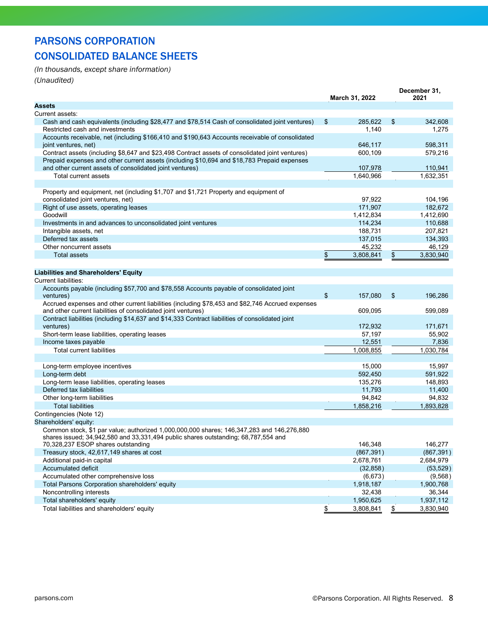## PARSONS CORPORATION CONSOLIDATED BALANCE SHEETS

*(In thousands, except share information)*

*(Unaudited)*

| <b>Assets</b><br>Current assets:                                                                                                                                                        |            |
|-----------------------------------------------------------------------------------------------------------------------------------------------------------------------------------------|------------|
|                                                                                                                                                                                         |            |
|                                                                                                                                                                                         |            |
| Cash and cash equivalents (including \$28,477 and \$78,514 Cash of consolidated joint ventures)<br>\$<br>\$<br>342,608<br>285,622                                                       |            |
| Restricted cash and investments<br>1,140                                                                                                                                                | 1,275      |
| Accounts receivable, net (including \$166,410 and \$190,643 Accounts receivable of consolidated                                                                                         |            |
| 598,311<br>joint ventures, net)<br>646,117                                                                                                                                              |            |
| Contract assets (including \$8,647 and \$23,498 Contract assets of consolidated joint ventures)<br>600,109<br>579,216                                                                   |            |
| Prepaid expenses and other current assets (including \$10,694 and \$18,783 Prepaid expenses<br>and other current assets of consolidated joint ventures)                                 |            |
| 107,978<br>110,941<br>Total current assets<br>1,640,966                                                                                                                                 |            |
| 1,632,351                                                                                                                                                                               |            |
| Property and equipment, net (including \$1,707 and \$1,721 Property and equipment of                                                                                                    |            |
| consolidated joint ventures, net)<br>97,922                                                                                                                                             | 104,196    |
| 171,907<br>Right of use assets, operating leases                                                                                                                                        | 182,672    |
| Goodwill<br>1,412,834<br>1,412,690                                                                                                                                                      |            |
| 114,234<br>Investments in and advances to unconsolidated joint ventures                                                                                                                 | 110,688    |
| 188,731<br>207,821<br>Intangible assets, net                                                                                                                                            |            |
| Deferred tax assets<br>137,015                                                                                                                                                          | 134,393    |
| Other noncurrent assets<br>45,232                                                                                                                                                       | 46,129     |
| <b>Total assets</b><br>\$<br>3,808,841<br>\$<br>3,830,940                                                                                                                               |            |
|                                                                                                                                                                                         |            |
|                                                                                                                                                                                         |            |
| <b>Liabilities and Shareholders' Equity</b>                                                                                                                                             |            |
| <b>Current liabilities:</b>                                                                                                                                                             |            |
| Accounts payable (including \$57,700 and \$78,558 Accounts payable of consolidated joint<br>\$<br>157,080<br>\$<br>ventures)                                                            | 196,286    |
| Accrued expenses and other current liabilities (including \$78,453 and \$82,746 Accrued expenses<br>and other current liabilities of consolidated joint ventures)<br>609,095<br>599,089 |            |
| Contract liabilities (including \$14,637 and \$14,333 Contract liabilities of consolidated joint<br>ventures)<br>172,932                                                                | 171,671    |
| 57,197<br>Short-term lease liabilities, operating leases                                                                                                                                | 55,902     |
| Income taxes payable<br>12,551                                                                                                                                                          | 7,836      |
| <b>Total current liabilities</b><br>1,008,855<br>1,030,784                                                                                                                              |            |
|                                                                                                                                                                                         |            |
| 15,000<br>Long-term employee incentives                                                                                                                                                 | 15,997     |
| Long-term debt<br>592,450<br>591,922                                                                                                                                                    |            |
| Long-term lease liabilities, operating leases<br>135,276                                                                                                                                | 148,893    |
| Deferred tax liabilities<br>11,793                                                                                                                                                      | 11,400     |
| 94,842<br>Other long-term liabilities                                                                                                                                                   | 94,832     |
| <b>Total liabilities</b><br>1,858,216<br>1,893,828                                                                                                                                      |            |
| Contingencies (Note 12)                                                                                                                                                                 |            |
| Shareholders' equity:                                                                                                                                                                   |            |
| Common stock, \$1 par value; authorized 1,000,000,000 shares; 146,347,283 and 146,276,880                                                                                               |            |
| shares issued; 34,942,580 and 33,331,494 public shares outstanding; 68,787,554 and<br>70,328,237 ESOP shares outstanding<br>146,348<br>146,277                                          |            |
| Treasury stock, 42,617,149 shares at cost<br>(867, 391)                                                                                                                                 | (867, 391) |
| Additional paid-in capital<br>2,678,761<br>2,684,979                                                                                                                                    |            |
| <b>Accumulated deficit</b><br>(32, 858)                                                                                                                                                 | (53, 529)  |
| Accumulated other comprehensive loss<br>(6,673)                                                                                                                                         | (9,568)    |
| Total Parsons Corporation shareholders' equity<br>1,918,187<br>1,900,768                                                                                                                |            |
| Noncontrolling interests<br>32,438                                                                                                                                                      | 36,344     |
| Total shareholders' equity<br>1,937,112<br>1,950,625                                                                                                                                    |            |
| \$<br>3,808,841<br>\$<br>3,830,940<br>Total liabilities and shareholders' equity                                                                                                        |            |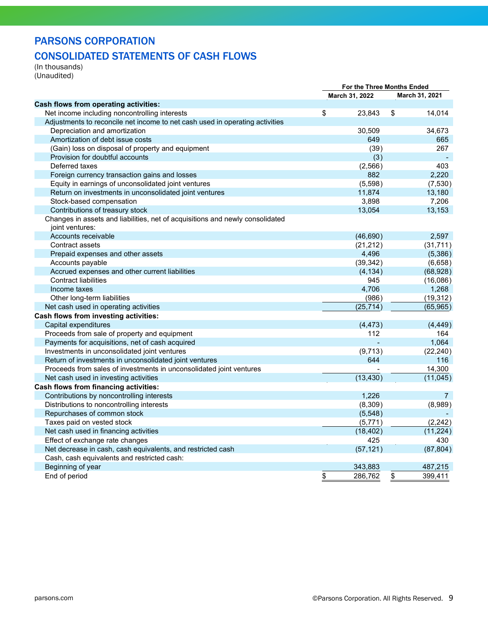### PARSONS CORPORATION

### CONSOLIDATED STATEMENTS OF CASH FLOWS

(In thousands) (Unaudited)

|                                                                                                  | For the Three Months Ended |                |                         |                |
|--------------------------------------------------------------------------------------------------|----------------------------|----------------|-------------------------|----------------|
|                                                                                                  |                            | March 31, 2022 |                         | March 31, 2021 |
| Cash flows from operating activities:                                                            |                            |                |                         |                |
| Net income including noncontrolling interests                                                    | \$                         | 23,843         | $\sqrt[6]{\frac{1}{2}}$ | 14,014         |
| Adjustments to reconcile net income to net cash used in operating activities                     |                            |                |                         |                |
| Depreciation and amortization                                                                    |                            | 30,509         |                         | 34,673         |
| Amortization of debt issue costs                                                                 |                            | 649            |                         | 665            |
| (Gain) loss on disposal of property and equipment                                                |                            | (39)           |                         | 267            |
| Provision for doubtful accounts                                                                  |                            | (3)            |                         |                |
| Deferred taxes                                                                                   |                            | (2, 566)       |                         | 403            |
| Foreign currency transaction gains and losses                                                    |                            | 882            |                         | 2,220          |
| Equity in earnings of unconsolidated joint ventures                                              |                            | (5,598)        |                         | (7,530)        |
| Return on investments in unconsolidated joint ventures                                           |                            | 11,874         |                         | 13,180         |
| Stock-based compensation                                                                         |                            | 3,898          |                         | 7,206          |
| Contributions of treasury stock                                                                  |                            | 13,054         |                         | 13,153         |
| Changes in assets and liabilities, net of acquisitions and newly consolidated<br>joint ventures: |                            |                |                         |                |
| Accounts receivable                                                                              |                            | (46, 690)      |                         | 2,597          |
| Contract assets                                                                                  |                            | (21, 212)      |                         | (31, 711)      |
| Prepaid expenses and other assets                                                                |                            | 4,496          |                         | (5,386)        |
| Accounts payable                                                                                 |                            | (39, 342)      |                         | (6,658)        |
| Accrued expenses and other current liabilities                                                   |                            | (4, 134)       |                         | (68, 928)      |
| <b>Contract liabilities</b>                                                                      |                            | 945            |                         | (16,086)       |
| Income taxes                                                                                     |                            | 4,706          |                         | 1,268          |
| Other long-term liabilities                                                                      |                            | (986)          |                         | (19, 312)      |
| Net cash used in operating activities                                                            |                            | (25, 714)      |                         | (65, 965)      |
| Cash flows from investing activities:                                                            |                            |                |                         |                |
| Capital expenditures                                                                             |                            | (4, 473)       |                         | (4, 449)       |
| Proceeds from sale of property and equipment                                                     |                            | 112            |                         | 164            |
| Payments for acquisitions, net of cash acquired                                                  |                            |                |                         | 1,064          |
| Investments in unconsolidated joint ventures                                                     |                            | (9,713)        |                         | (22, 240)      |
| Return of investments in unconsolidated joint ventures                                           |                            | 644            |                         | 116            |
| Proceeds from sales of investments in unconsolidated joint ventures                              |                            |                |                         | 14,300         |
| Net cash used in investing activities                                                            |                            | (13, 430)      |                         | (11, 045)      |
| Cash flows from financing activities:                                                            |                            |                |                         |                |
| Contributions by noncontrolling interests                                                        |                            | 1,226          |                         | $\overline{7}$ |
| Distributions to noncontrolling interests                                                        |                            | (8, 309)       |                         | (8,989)        |
| Repurchases of common stock                                                                      |                            | (5,548)        |                         |                |
| Taxes paid on vested stock                                                                       |                            | (5, 771)       |                         | (2, 242)       |
| Net cash used in financing activities                                                            |                            | (18, 402)      |                         | (11, 224)      |
| Effect of exchange rate changes                                                                  |                            | 425            |                         | 430            |
| Net decrease in cash, cash equivalents, and restricted cash                                      |                            | (57, 121)      |                         | (87, 804)      |
| Cash, cash equivalents and restricted cash:                                                      |                            |                |                         |                |
| Beginning of year                                                                                |                            | 343,883        |                         | 487,215        |
| End of period                                                                                    | \$                         | 286,762        | \$                      | 399,411        |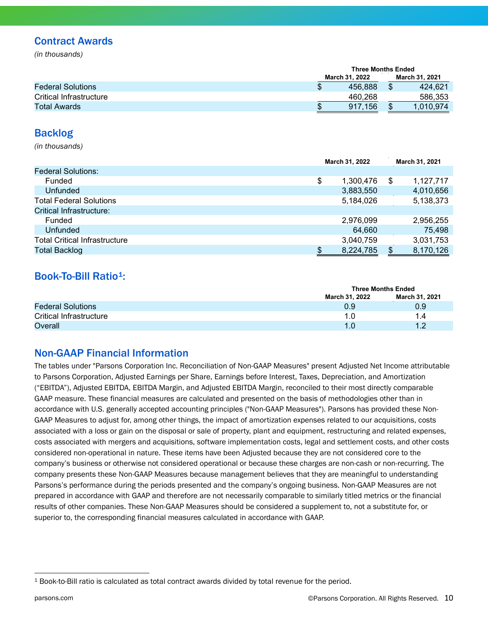### Contract Awards

*(in thousands)*

|                          |                | <b>Three Months Ended</b> |  |  |  |
|--------------------------|----------------|---------------------------|--|--|--|
|                          | March 31, 2022 | March 31, 2021            |  |  |  |
| <b>Federal Solutions</b> | 456.888        | 424.621<br>S              |  |  |  |
| Critical Infrastructure  | 460.268        | 586.353                   |  |  |  |
| Total Awards             | 917.156        | S<br>1,010,974            |  |  |  |

#### Backlog

*(in thousands)*

|                                      |    | March 31, 2022 | March 31, 2021  |
|--------------------------------------|----|----------------|-----------------|
| <b>Federal Solutions:</b>            |    |                |                 |
| Funded                               | \$ | 1,300,476      | \$<br>1.127.717 |
| Unfunded                             |    | 3,883,550      | 4,010,656       |
| <b>Total Federal Solutions</b>       |    | 5,184,026      | 5,138,373       |
| Critical Infrastructure:             |    |                |                 |
| Funded                               |    | 2,976,099      | 2,956,255       |
| Unfunded                             |    | 64,660         | 75,498          |
| <b>Total Critical Infrastructure</b> |    | 3,040,759      | 3,031,753       |
| <b>Total Backlog</b>                 | œ  | 8,224,785      | \$<br>8,170,126 |

### Book-To-Bill Ratio<sup>1</sup>:

|                          | <b>Three Months Ended</b> |                |
|--------------------------|---------------------------|----------------|
|                          | March 31, 2022            | March 31, 2021 |
| <b>Federal Solutions</b> | 0.9                       | 0.9            |
| Critical Infrastructure  |                           | 1.4            |
| Overall                  | 1.0                       | 1 ຕ            |

### Non-GAAP Financial Information

The tables under "Parsons Corporation Inc. Reconciliation of Non-GAAP Measures" present Adjusted Net Income attributable to Parsons Corporation, Adjusted Earnings per Share, Earnings before Interest, Taxes, Depreciation, and Amortization ("EBITDA"), Adjusted EBITDA, EBITDA Margin, and Adjusted EBITDA Margin, reconciled to their most directly comparable GAAP measure. These financial measures are calculated and presented on the basis of methodologies other than in accordance with U.S. generally accepted accounting principles ("Non-GAAP Measures"). Parsons has provided these Non-GAAP Measures to adjust for, among other things, the impact of amortization expenses related to our acquisitions, costs associated with a loss or gain on the disposal or sale of property, plant and equipment, restructuring and related expenses, costs associated with mergers and acquisitions, software implementation costs, legal and settlement costs, and other costs considered non-operational in nature. These items have been Adjusted because they are not considered core to the company's business or otherwise not considered operational or because these charges are non-cash or non-recurring. The company presents these Non-GAAP Measures because management believes that they are meaningful to understanding Parsons's performance during the periods presented and the company's ongoing business. Non-GAAP Measures are not prepared in accordance with GAAP and therefore are not necessarily comparable to similarly titled metrics or the financial results of other companies. These Non-GAAP Measures should be considered a supplement to, not a substitute for, or superior to, the corresponding financial measures calculated in accordance with GAAP.

<span id="page-9-0"></span><sup>1</sup> Book-to-Bill ratio is calculated as total contract awards divided by total revenue for the period.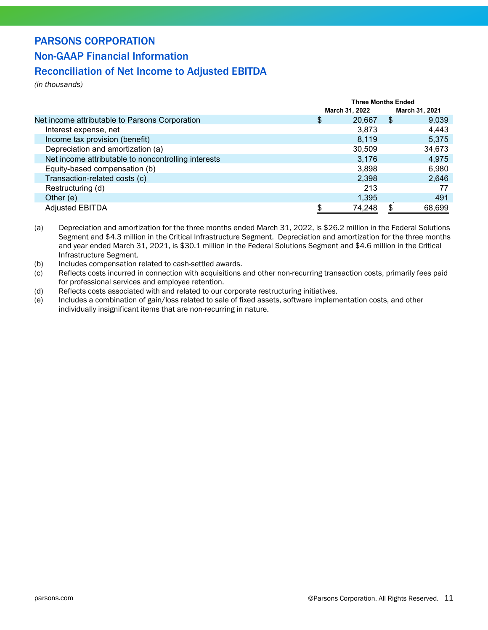### PARSONS CORPORATION

### Non-GAAP Financial Information

### Reconciliation of Net Income to Adjusted EBITDA

*(in thousands)*

|                                                     | <b>Three Months Ended</b> |                |     |                |
|-----------------------------------------------------|---------------------------|----------------|-----|----------------|
|                                                     |                           | March 31, 2022 |     | March 31, 2021 |
| Net income attributable to Parsons Corporation      | \$                        | 20,667         | \$  | 9,039          |
| Interest expense, net                               |                           | 3,873          |     | 4,443          |
| Income tax provision (benefit)                      |                           | 8,119          |     | 5,375          |
| Depreciation and amortization (a)                   |                           | 30,509         |     | 34,673         |
| Net income attributable to noncontrolling interests |                           | 3,176          |     | 4,975          |
| Equity-based compensation (b)                       |                           | 3,898          |     | 6,980          |
| Transaction-related costs (c)                       |                           | 2,398          |     | 2,646          |
| Restructuring (d)                                   |                           | 213            |     |                |
| Other $(e)$                                         |                           | 1,395          |     | 491            |
| <b>Adjusted EBITDA</b>                              |                           | 74,248         | \$. | 68,699         |

- (a) Depreciation and amortization for the three months ended March 31, 2022, is \$26.2 million in the Federal Solutions Segment and \$4.3 million in the Critical Infrastructure Segment. Depreciation and amortization for the three months and year ended March 31, 2021, is \$30.1 million in the Federal Solutions Segment and \$4.6 million in the Critical Infrastructure Segment.
- (b) Includes compensation related to cash-settled awards.
- (c) Reflects costs incurred in connection with acquisitions and other non-recurring transaction costs, primarily fees paid for professional services and employee retention.
- (d) Reflects costs associated with and related to our corporate restructuring initiatives.
- (e) Includes a combination of gain/loss related to sale of fixed assets, software implementation costs, and other individually insignificant items that are non-recurring in nature.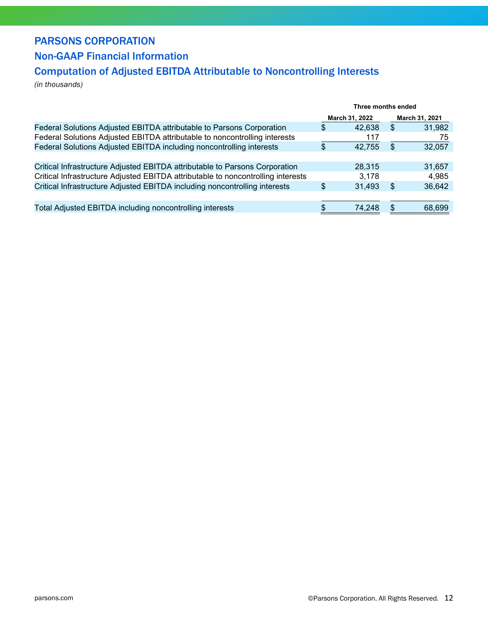### PARSONS CORPORATION

### Non-GAAP Financial Information

### Computation of Adjusted EBITDA Attributable to Noncontrolling Interests

*(in thousands)*

|                                                                                  | Three months ended |        |                |        |
|----------------------------------------------------------------------------------|--------------------|--------|----------------|--------|
|                                                                                  | March 31, 2022     |        | March 31, 2021 |        |
| Federal Solutions Adjusted EBITDA attributable to Parsons Corporation            | \$                 | 42,638 | \$             | 31,982 |
| Federal Solutions Adjusted EBITDA attributable to noncontrolling interests       |                    | 117    |                | 75     |
| Federal Solutions Adjusted EBITDA including noncontrolling interests             | \$                 | 42,755 | S              | 32,057 |
|                                                                                  |                    |        |                |        |
| Critical Infrastructure Adjusted EBITDA attributable to Parsons Corporation      |                    | 28.315 |                | 31,657 |
| Critical Infrastructure Adjusted EBITDA attributable to noncontrolling interests |                    | 3,178  |                | 4,985  |
| Critical Infrastructure Adjusted EBITDA including noncontrolling interests       |                    | 31,493 | \$             | 36,642 |
|                                                                                  |                    |        |                |        |
| Total Adjusted EBITDA including noncontrolling interests                         | \$                 | 74,248 | S              | 68,699 |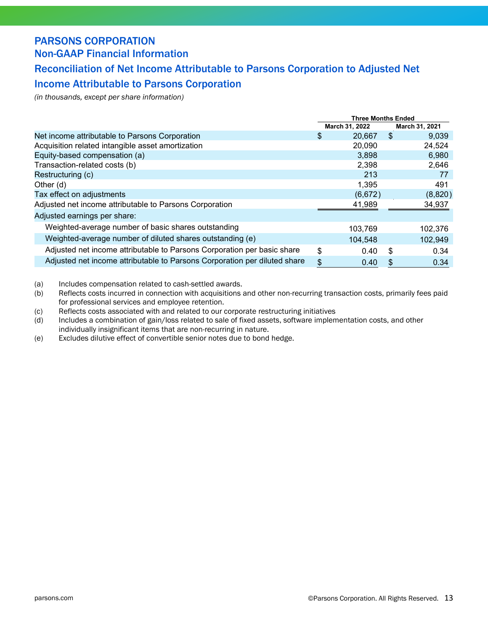### PARSONS CORPORATION Non-GAAP Financial Information

### Reconciliation of Net Income Attributable to Parsons Corporation to Adjusted Net

### Income Attributable to Parsons Corporation

*(in thousands, except per share information)*

|                                                                           | Three Months Ended |                |                |         |
|---------------------------------------------------------------------------|--------------------|----------------|----------------|---------|
|                                                                           |                    | March 31, 2022 | March 31, 2021 |         |
| Net income attributable to Parsons Corporation                            | \$                 | 20,667         | \$.            | 9,039   |
| Acquisition related intangible asset amortization                         |                    | 20,090         |                | 24,524  |
| Equity-based compensation (a)                                             |                    | 3,898          |                | 6,980   |
| Transaction-related costs (b)                                             |                    | 2,398          |                | 2,646   |
| Restructuring (c)                                                         |                    | 213            |                | 77      |
| Other (d)                                                                 |                    | 1,395          |                | 491     |
| Tax effect on adjustments                                                 |                    | (6,672)        |                | (8,820) |
| Adjusted net income attributable to Parsons Corporation                   |                    | 41,989         |                | 34,937  |
| Adjusted earnings per share:                                              |                    |                |                |         |
| Weighted-average number of basic shares outstanding                       |                    | 103,769        |                | 102,376 |
| Weighted-average number of diluted shares outstanding (e)                 |                    | 104,548        |                | 102,949 |
| Adjusted net income attributable to Parsons Corporation per basic share   | \$                 | 0.40           | -\$            | 0.34    |
| Adjusted net income attributable to Parsons Corporation per diluted share | \$                 | 0.40           | S              | 0.34    |

(a) Includes compensation related to cash-settled awards.

(b) Reflects costs incurred in connection with acquisitions and other non-recurring transaction costs, primarily fees paid for professional services and employee retention.

- (c) Reflects costs associated with and related to our corporate restructuring initiatives
- (d) Includes a combination of gain/loss related to sale of fixed assets, software implementation costs, and other individually insignificant items that are non-recurring in nature.
- (e) Excludes dilutive effect of convertible senior notes due to bond hedge.